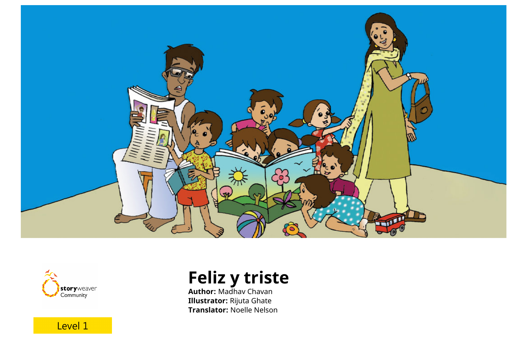



Level 1

**Feliz y triste**

**Author:** Madhav Chavan **Illustrator:** Rijuta Ghate **Translator:** Noelle Nelson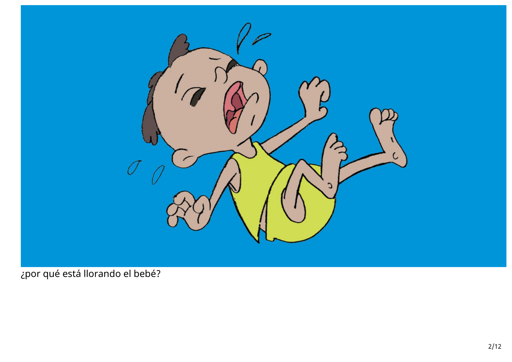

¿por qué está llorando el bebé?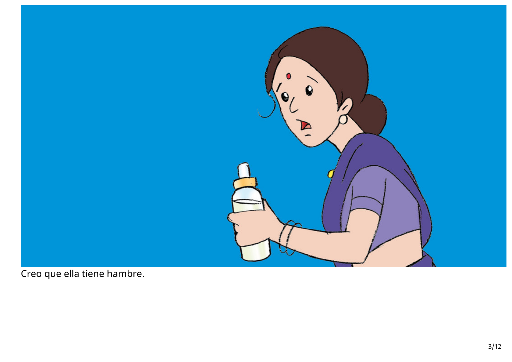

Creo que ella tiene hambre.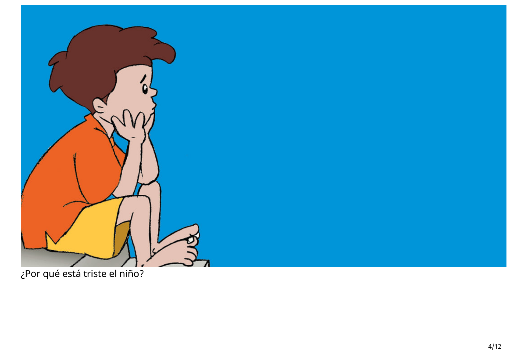

¿Por qué está triste el niño?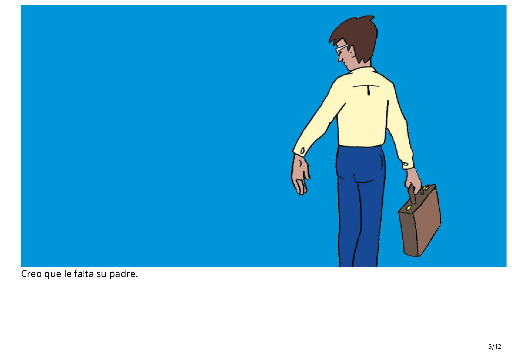

Creo que le falta su padre.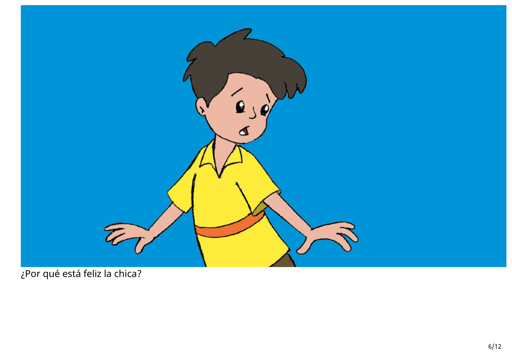

¿Por qué está feliz la chica?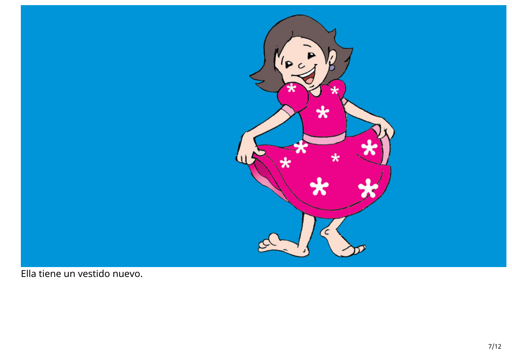

Ella tiene un vestido nuevo.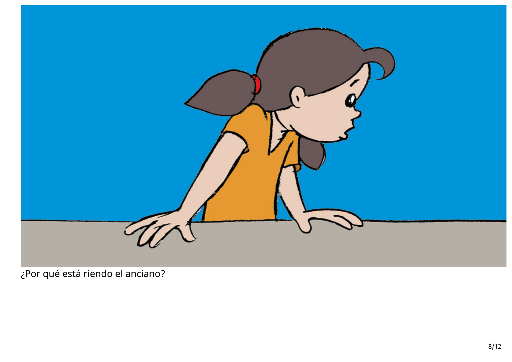

¿Por qué está riendo el anciano?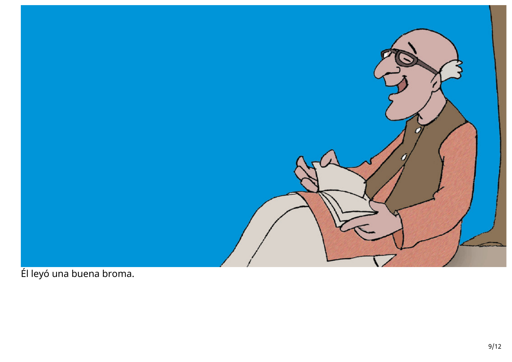

Él leyó una buena broma.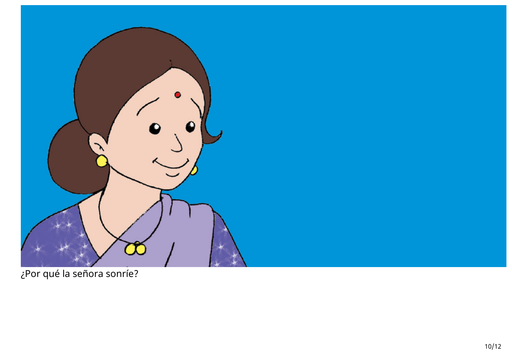

¿Por qué la señora sonríe?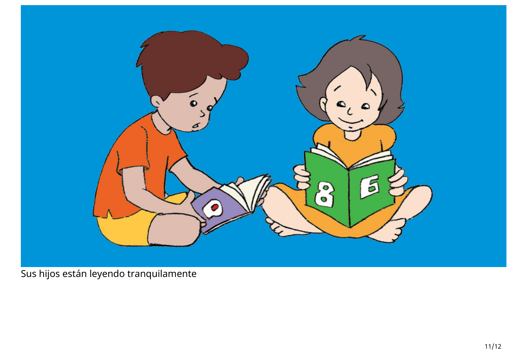

Sus hijos están leyendo tranquilamente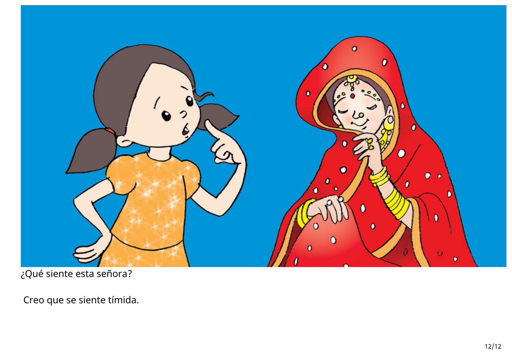

¿Qué siente esta señora?

Creo que se siente tímida.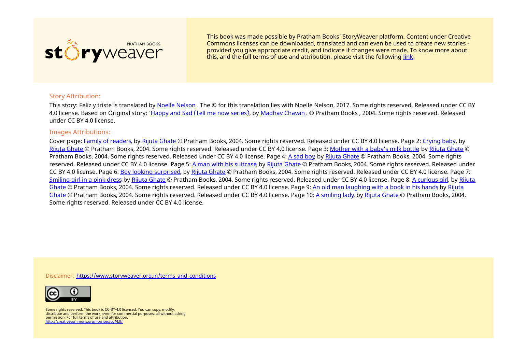

This book was made possible by Pratham Books' StoryWeaver platform. Content under Creative Commons licenses can be downloaded, translated and can even be used to create new stories ‐ provided you give appropriate credit, and indicate if changes were made. To know more about this, and the full terms of use and attribution, please visit the following [link](https://storyweaver.org.in/terms_and_conditions).

## Story Attribution:

This story: Feliz y triste is translated by Noelle [Nelson](https://storyweaver.org.in/users/19371-noelle-nelson). The © for this translation lies with Noelle Nelson, 2017. Some rights reserved. Released under CC BY 4.0 license. Based on Original story: ['Happy](https://storyweaver.org.in/stories/453-happy-and-sad-tell-me-now-series) and Sad (Tell me now series), by [Madhav](https://storyweaver.org.in/users/108-madhav-chavan) Chavan . © Pratham Books , 2004. Some rights reserved. Released under CC BY 4.0 license.

## Images Attributions:

Cover page: Family of [readers](https://storyweaver.org.in/illustrations/1020-family-of-readers), by Rijuta [Ghate](https://storyweaver.org.in/users/22-rijuta-ghate) © Pratham Books, 2004. Some rights reserved. Released under CC BY 4.0 license. Page 2: [Crying](https://storyweaver.org.in/illustrations/1021-crying-baby) baby, by Rijuta [Ghate](https://storyweaver.org.in/users/22-rijuta-ghate) © Pratham Books, 2004. Some rights reserved. Released under CC BY 4.0 license. Page 3: [Mother](https://storyweaver.org.in/illustrations/1022-mother-with-a-baby-s-milk-bottle) with a baby's milk bottle, by Rijuta [Ghate](https://storyweaver.org.in/users/22-rijuta-ghate) © Pratham Books, 2004. Some rights reserved. Released under CC BY 4.0 license. Page 4: A [sad](https://storyweaver.org.in/illustrations/1023-a-sad-boy) boy, by Rijuta [Ghate](https://storyweaver.org.in/users/22-rijuta-ghate) © Pratham Books, 2004. Some rights reserved. Released under CC BY 4.0 license. Page 5: A man with his [suitcase](https://storyweaver.org.in/illustrations/1024-a-man-with-his-suitcase), by Rijuta [Ghate](https://storyweaver.org.in/users/22-rijuta-ghate) © Pratham Books, 2004. Some rights reserved. Released under CC BY 4.0 license. Page 6: Boy looking [surprised](https://storyweaver.org.in/illustrations/1025-boy-looking-surprised), by Rijuta [Ghate](https://storyweaver.org.in/users/22-rijuta-ghate) © Pratham Books, 2004. Some rights reserved. Released under CC BY 4.0 license. Page 7: [Smiling](https://storyweaver.org.in/illustrations/1026-smiling-girl-in-a-pink-dress) girl in a pink dress by Rijuta [Ghate](https://storyweaver.org.in/users/22-rijuta-ghate) © Pratham Books, 2004. Some rights reserved. Released under CC BY 4.0 license. Page 8: A [curious](https://storyweaver.org.in/illustrations/1027-a-curious-girl) girl, by Rijuta Ghate © Pratham Books, 2004. Some rights [reserved.](https://storyweaver.org.in/users/22-rijuta-ghate) Released under CC BY 4.0 license. Page 9: An old man [laughing](https://storyweaver.org.in/illustrations/1028-an-old-man-laughing-with-a-book-in-his-hands) with a book in his hands by Rijuta Ghate © Pratham Books, 2004. Some rights reserved. Released under CC BY 4.0 license. Page 10: A [smiling](https://storyweaver.org.in/illustrations/1029-a-smiling-lady) lady, by Rijuta [Ghate](https://storyweaver.org.in/users/22-rijuta-ghate) © Pratham Books, 2004. Some rights reserved. Released under CC BY 4.0 license.

Disclaimer: [https://www.storyweaver.org.in/terms\\_and\\_conditions](https://storyweaver.org.in/terms_and_conditions)



Some rights reserved. This book is CC-BY-4.0 licensed. You can copy, modify, distribute and perform the work, even for commercial purposes, all without asking permission. For full terms of use and attribution, <http://creativecommons.org/licenses/by/4.0/>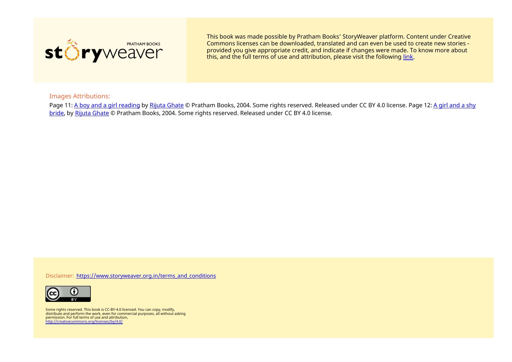

This book was made possible by Pratham Books' StoryWeaver platform. Content under Creative Commons licenses can be downloaded, translated and can even be used to create new stories ‐ provided you give appropriate credit, and indicate if changes were made. To know more about this, and the full terms of use and attribution, please visit the following [link](https://storyweaver.org.in/terms_and_conditions).

## Images Attributions:

Page 11: A boy and a girl [reading](https://storyweaver.org.in/illustrations/1030-a-boy-and-a-girl-reading) by Rijuta [Ghate](https://storyweaver.org.in/users/22-rijuta-ghate) © Pratham Books, 2004. Some rights reserved. Released under CC BY 4.0 license. Page 12: A girl and a shy bride, by Rijuta [Ghate](https://storyweaver.org.in/users/22-rijuta-ghate) © Pratham Books, 2004. Some rights [reserved.](https://storyweaver.org.in/illustrations/1031-a-girl-and-a-shy-bride) Released under CC BY 4.0 license.

Disclaimer: [https://www.storyweaver.org.in/terms\\_and\\_conditions](https://storyweaver.org.in/terms_and_conditions)



Some rights reserved. This book is CC-BY-4.0 licensed. You can copy, modify, distribute and perform the work, even for commercial purposes, all without asking permission. For full terms of use and attribution, <http://creativecommons.org/licenses/by/4.0/>